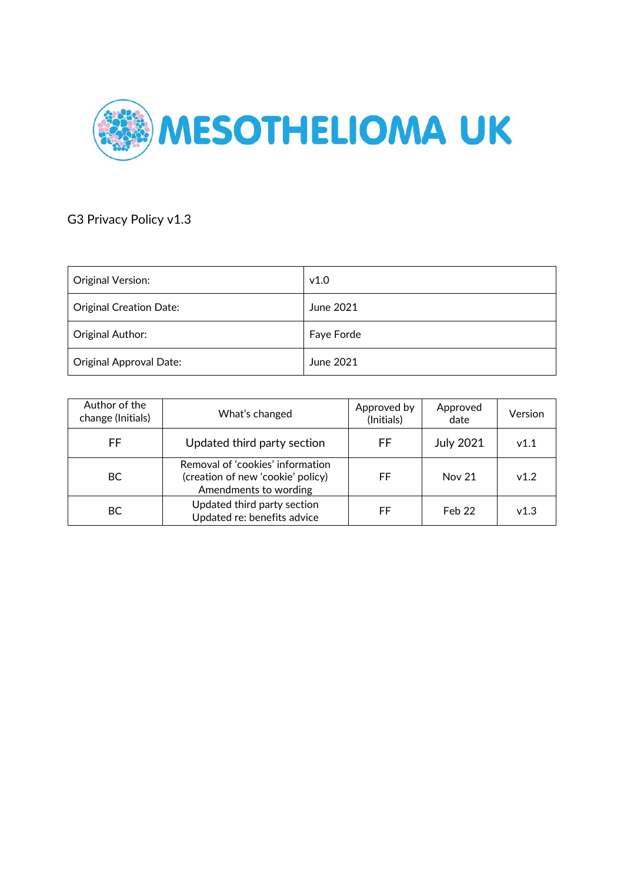

# G3 Privacy Policy v1.3

| Original Version:              | v1.0       |
|--------------------------------|------------|
| <b>Original Creation Date:</b> | June 2021  |
| Original Author:               | Faye Forde |
| <b>Original Approval Date:</b> | June 2021  |

| Author of the<br>change (Initials) | What's changed                                                                                 | Approved by<br>(Initials) | Approved<br>date | Version |
|------------------------------------|------------------------------------------------------------------------------------------------|---------------------------|------------------|---------|
| FF                                 | Updated third party section                                                                    | FF                        | <b>July 2021</b> | v1.1    |
| BC.                                | Removal of 'cookies' information<br>(creation of new 'cookie' policy)<br>Amendments to wording | FF                        | <b>Nov 21</b>    | v1.2    |
| ВC                                 | Updated third party section<br>Updated re: benefits advice                                     | FF                        | Feb 22           | v1.3    |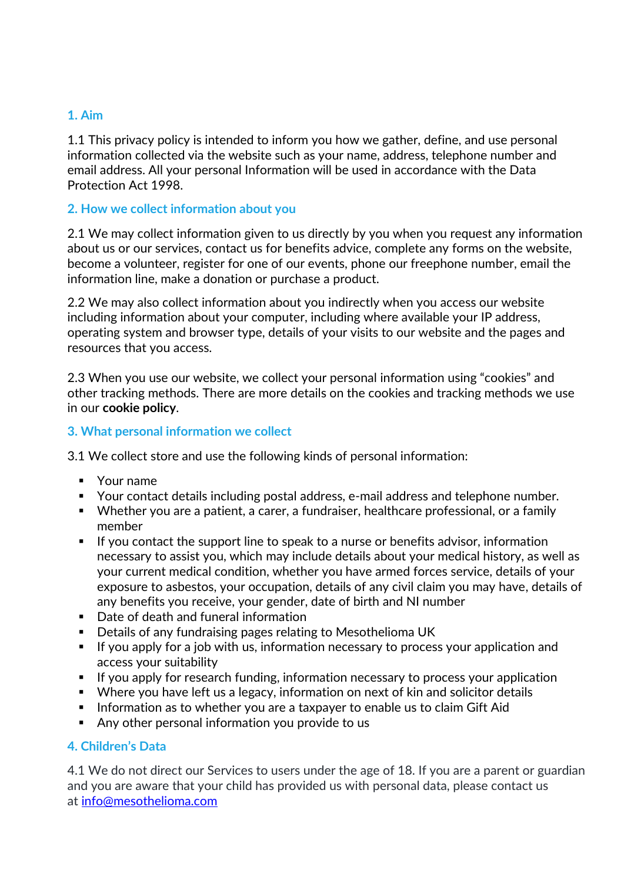## **1. Aim**

1.1 This privacy policy is intended to inform you how we gather, define, and use personal information collected via the website such as your name, address, telephone number and email address. All your personal Information will be used in accordance with the Data Protection Act 1998.

### **2. How we collect information about you**

2.1 We may collect information given to us directly by you when you request any information about us or our services, contact us for benefits advice, complete any forms on the website, become a volunteer, register for one of our events, phone our freephone number, email the information line, make a donation or purchase a product.

2.2 We may also collect information about you indirectly when you access our website including information about your computer, including where available your IP address, operating system and browser type, details of your visits to our website and the pages and resources that you access.

2.3 When you use our website, we collect your personal information using "cookies" and other tracking methods. There are more details on the cookies and tracking methods we use in our **cookie policy**.

### **3. What personal information we collect**

3.1 We collect store and use the following kinds of personal information:

- Your name
- Your contact details including postal address, e-mail address and telephone number.
- Whether you are a patient, a carer, a fundraiser, healthcare professional, or a family member
- **E** If you contact the support line to speak to a nurse or benefits advisor, information necessary to assist you, which may include details about your medical history, as well as your current medical condition, whether you have armed forces service, details of your exposure to asbestos, your occupation, details of any civil claim you may have, details of any benefits you receive, your gender, date of birth and NI number
- Date of death and funeral information
- Details of any fundraising pages relating to Mesothelioma UK
- **EXT** If you apply for a job with us, information necessary to process your application and access your suitability
- **E** If you apply for research funding, information necessary to process your application
- Where you have left us a legacy, information on next of kin and solicitor details
- **EXTE:** Information as to whether you are a taxpayer to enable us to claim Gift Aid
- Any other personal information you provide to us

### **4. Children's Data**

4.1 We do not direct our Services to users under the age of 18. If you are a parent or guardian and you are aware that your child has provided us with personal data, please contact us at [info@mesothelioma.com](mailto:info@mesothelioma.com)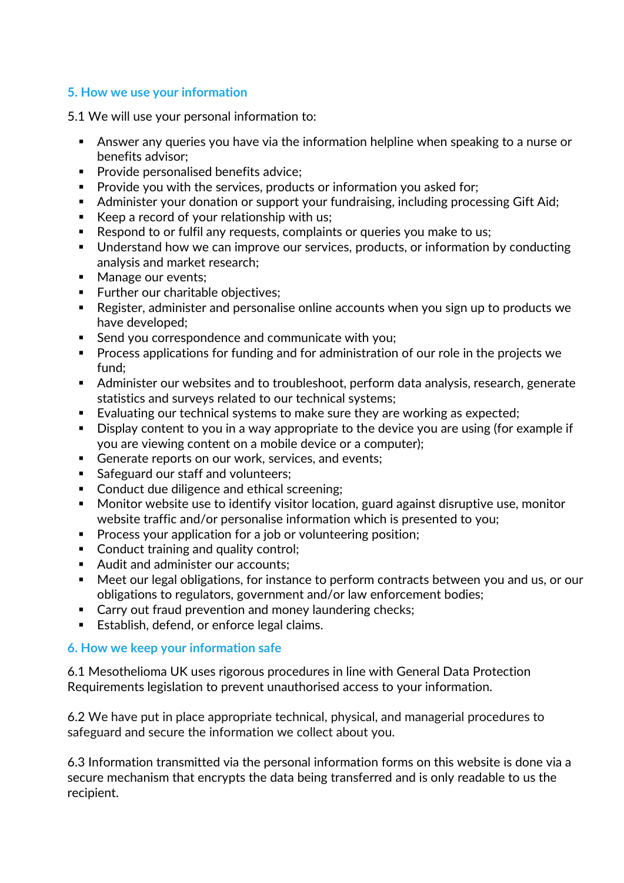## **5. How we use your information**

5.1 We will use your personal information to:

- Answer any queries you have via the information helpline when speaking to a nurse or benefits advisor;
- Provide personalised benefits advice;
- Provide you with the services, products or information you asked for;
- Administer your donation or support your fundraising, including processing Gift Aid;
- Keep a record of your relationship with us;
- Respond to or fulfil any requests, complaints or queries you make to us;
- Understand how we can improve our services, products, or information by conducting analysis and market research;
- Manage our events;
- Further our charitable objectives;
- Register, administer and personalise online accounts when you sign up to products we have developed;
- Send you correspondence and communicate with you;
- Process applications for funding and for administration of our role in the projects we fund;
- Administer our websites and to troubleshoot, perform data analysis, research, generate statistics and surveys related to our technical systems;
- Evaluating our technical systems to make sure they are working as expected;
- Display content to you in a way appropriate to the device you are using (for example if you are viewing content on a mobile device or a computer);
- Generate reports on our work, services, and events;
- Safeguard our staff and volunteers;
- Conduct due diligence and ethical screening;
- Monitor website use to identify visitor location, guard against disruptive use, monitor website traffic and/or personalise information which is presented to you;
- Process your application for a job or volunteering position;
- Conduct training and quality control;
- Audit and administer our accounts;
- Meet our legal obligations, for instance to perform contracts between you and us, or our obligations to regulators, government and/or law enforcement bodies;
- Carry out fraud prevention and money laundering checks;
- Establish, defend, or enforce legal claims.

# **6. How we keep your information safe**

6.1 Mesothelioma UK uses rigorous procedures in line with General Data Protection Requirements legislation to prevent unauthorised access to your information.

6.2 We have put in place appropriate technical, physical, and managerial procedures to safeguard and secure the information we collect about you.

6.3 Information transmitted via the personal information forms on this website is done via a secure mechanism that encrypts the data being transferred and is only readable to us the recipient.